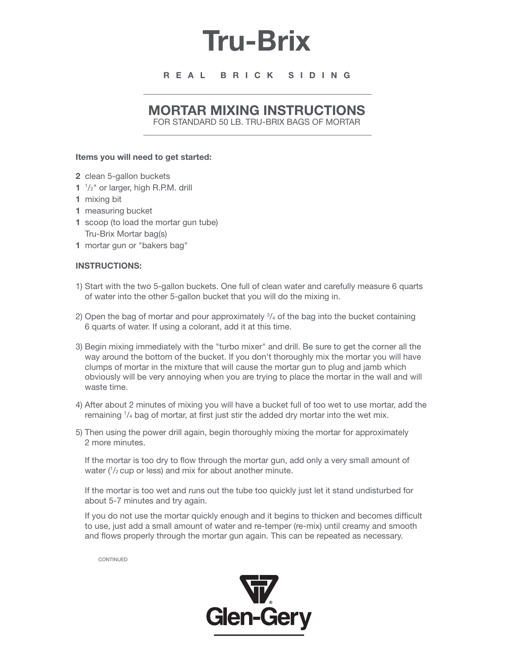# **Tru-Brix**

## **R E A L B R I C K S I D I N G**

# **MORTAR MIXING INSTRUCTIONS**

FOR STANDARD 50 LB. TRU-BRIX BAGS OF MORTAR

#### **Items you will need to get started:**

- **2** clean 5-gallon buckets
- **1** 1 /2" or larger, high R.P.M. drill
- **1** mixing bit
- **1** measuring bucket
- **1** scoop (to load the mortar gun tube) Tru-Brix Mortar bag(s)
- **1** mortar gun or "bakers bag"

### **INSTRUCTIONS:**

- 1) Start with the two 5-gallon buckets. One full of clean water and carefully measure 6 quarts of water into the other 5-gallon bucket that you will do the mixing in.
- 2) Open the bag of mortar and pour approximately  $\frac{3}{4}$  of the bag into the bucket containing 6 quarts of water. If using a colorant, add it at this time.
- 3) Begin mixing immediately with the "turbo mixer" and drill. Be sure to get the corner all the way around the bottom of the bucket. If you don't thoroughly mix the mortar you will have clumps of mortar in the mixture that will cause the mortar gun to plug and jamb which obviously will be very annoying when you are trying to place the mortar in the wall and will waste time.
- 4) After about 2 minutes of mixing you will have a bucket full of too wet to use mortar, add the remaining  $1/4$  bag of mortar, at first just stir the added dry mortar into the wet mix.
- 5) Then using the power drill again, begin thoroughly mixing the mortar for approximately 2 more minutes.

If the mortar is too dry to flow through the mortar gun, add only a very small amount of water ( $\frac{1}{2}$  cup or less) and mix for about another minute.

If the mortar is too wet and runs out the tube too quickly just let it stand undisturbed for about 5-7 minutes and try again.

If you do not use the mortar quickly enough and it begins to thicken and becomes difficult to use, just add a small amount of water and re-temper (re-mix) until creamy and smooth and flows properly through the mortar gun again. This can be repeated as necessary.

CONTINUED